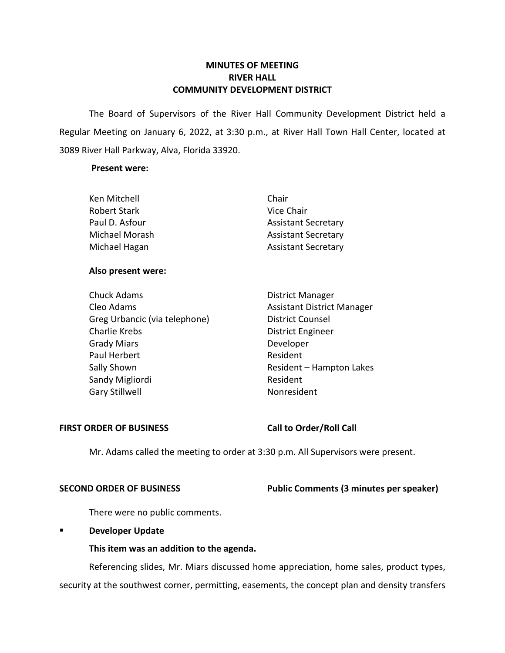# **MINUTES OF MEETING RIVER HALL COMMUNITY DEVELOPMENT DISTRICT**

The Board of Supervisors of the River Hall Community Development District held a Regular Meeting on January 6, 2022, at 3:30 p.m., at River Hall Town Hall Center, located at 3089 River Hall Parkway, Alva, Florida 33920.

## **Present were:**

| Chair                      |
|----------------------------|
| Vice Chair                 |
| <b>Assistant Secretary</b> |
| <b>Assistant Secretary</b> |
| <b>Assistant Secretary</b> |
|                            |

## **Also present were:**

| <b>Chuck Adams</b>            | <b>District Manager</b>           |
|-------------------------------|-----------------------------------|
| Cleo Adams                    | <b>Assistant District Manager</b> |
| Greg Urbancic (via telephone) | <b>District Counsel</b>           |
| <b>Charlie Krebs</b>          | <b>District Engineer</b>          |
| <b>Grady Miars</b>            | Developer                         |
| Paul Herbert                  | Resident                          |
| Sally Shown                   | Resident - Hampton Lakes          |
| Sandy Migliordi               | Resident                          |
| <b>Gary Stillwell</b>         | Nonresident                       |

## FIRST ORDER OF BUSINESS Call to Order/Roll Call

Mr. Adams called the meeting to order at 3:30 p.m. All Supervisors were present.

# **SECOND ORDER OF BUSINESS** Public Comments (3 minutes per speaker)

There were no public comments.

# ▪ **Developer Update**

# **This item was an addition to the agenda.**

Referencing slides, Mr. Miars discussed home appreciation, home sales, product types, security at the southwest corner, permitting, easements, the concept plan and density transfers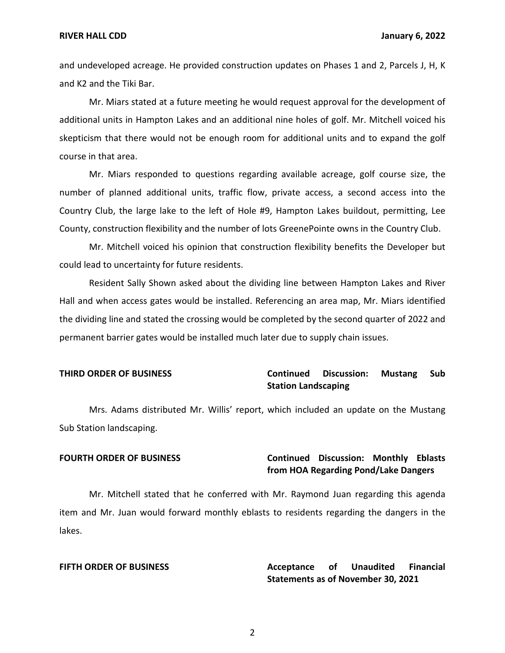### **RIVER HALL CDD January 6, 2022**

and undeveloped acreage. He provided construction updates on Phases 1 and 2, Parcels J, H, K and K2 and the Tiki Bar.

Mr. Miars stated at a future meeting he would request approval for the development of additional units in Hampton Lakes and an additional nine holes of golf. Mr. Mitchell voiced his skepticism that there would not be enough room for additional units and to expand the golf course in that area.

Mr. Miars responded to questions regarding available acreage, golf course size, the number of planned additional units, traffic flow, private access, a second access into the Country Club, the large lake to the left of Hole #9, Hampton Lakes buildout, permitting, Lee County, construction flexibility and the number of lots GreenePointe owns in the Country Club.

Mr. Mitchell voiced his opinion that construction flexibility benefits the Developer but could lead to uncertainty for future residents.

Resident Sally Shown asked about the dividing line between Hampton Lakes and River Hall and when access gates would be installed. Referencing an area map, Mr. Miars identified the dividing line and stated the crossing would be completed by the second quarter of 2022 and permanent barrier gates would be installed much later due to supply chain issues.

# **THIRD ORDER OF BUSINESS Continued Discussion: Mustang Sub Station Landscaping**

Mrs. Adams distributed Mr. Willis' report, which included an update on the Mustang Sub Station landscaping.

# **FOURTH ORDER OF BUSINESS Continued Discussion: Monthly Eblasts from HOA Regarding Pond/Lake Dangers**

Mr. Mitchell stated that he conferred with Mr. Raymond Juan regarding this agenda item and Mr. Juan would forward monthly eblasts to residents regarding the dangers in the lakes.

**FIFTH ORDER OF BUSINESS Acceptance of Unaudited Financial Statements as of November 30, 2021**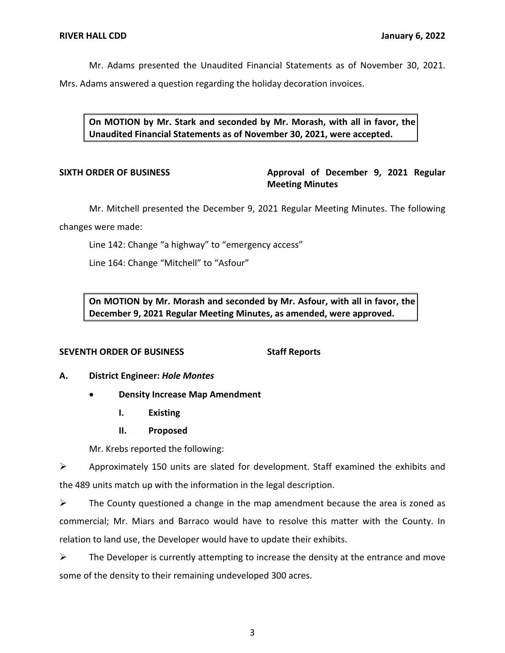Mr. Adams presented the Unaudited Financial Statements as of November 30, 2021.

Mrs. Adams answered a question regarding the holiday decoration invoices.

**On MOTION by Mr. Stark and seconded by Mr. Morash, with all in favor, the Unaudited Financial Statements as of November 30, 2021, were accepted.** 

# SIXTH ORDER OF BUSINESS **Approval of December 9, 2021 Regular Meeting Minutes**

Mr. Mitchell presented the December 9, 2021 Regular Meeting Minutes. The following changes were made:

Line 142: Change "a highway" to "emergency access"

Line 164: Change "Mitchell" to "Asfour"

**On MOTION by Mr. Morash and seconded by Mr. Asfour, with all in favor, the December 9, 2021 Regular Meeting Minutes, as amended, were approved.** 

## **SEVENTH ORDER OF BUSINESS** Staff Reports

- **A. District Engineer:** *Hole Montes* 
	- **Density Increase Map Amendment** 
		- **I. Existing**
		- **II. Proposed**

Mr. Krebs reported the following:

➢ Approximately 150 units are slated for development. Staff examined the exhibits and the 489 units match up with the information in the legal description.

 $\triangleright$  The County questioned a change in the map amendment because the area is zoned as commercial; Mr. Miars and Barraco would have to resolve this matter with the County. In relation to land use, the Developer would have to update their exhibits.

 $\triangleright$  The Developer is currently attempting to increase the density at the entrance and move some of the density to their remaining undeveloped 300 acres.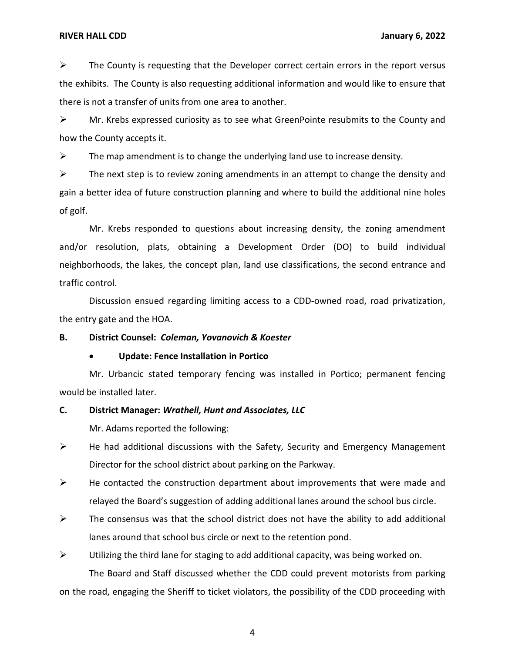## **RIVER HALL CDD January 6, 2022**

 $\triangleright$  The County is requesting that the Developer correct certain errors in the report versus the exhibits. The County is also requesting additional information and would like to ensure that there is not a transfer of units from one area to another.

 $\triangleright$  Mr. Krebs expressed curiosity as to see what GreenPointe resubmits to the County and how the County accepts it.

 $\triangleright$  The map amendment is to change the underlying land use to increase density.

 $\triangleright$  The next step is to review zoning amendments in an attempt to change the density and gain a better idea of future construction planning and where to build the additional nine holes of golf.

Mr. Krebs responded to questions about increasing density, the zoning amendment and/or resolution, plats, obtaining a Development Order (DO) to build individual neighborhoods, the lakes, the concept plan, land use classifications, the second entrance and traffic control.

Discussion ensued regarding limiting access to a CDD-owned road, road privatization, the entry gate and the HOA.

## **B. District Counsel:** *Coleman, Yovanovich & Koester*

## • **Update: Fence Installation in Portico**

Mr. Urbancic stated temporary fencing was installed in Portico; permanent fencing would be installed later.

## **C. District Manager:** *Wrathell, Hunt and Associates, LLC*

Mr. Adams reported the following:

- ➢ He had additional discussions with the Safety, Security and Emergency Management Director for the school district about parking on the Parkway.
- $\triangleright$  He contacted the construction department about improvements that were made and relayed the Board's suggestion of adding additional lanes around the school bus circle.
- $\triangleright$  The consensus was that the school district does not have the ability to add additional lanes around that school bus circle or next to the retention pond.
- $\triangleright$  Utilizing the third lane for staging to add additional capacity, was being worked on.

The Board and Staff discussed whether the CDD could prevent motorists from parking on the road, engaging the Sheriff to ticket violators, the possibility of the CDD proceeding with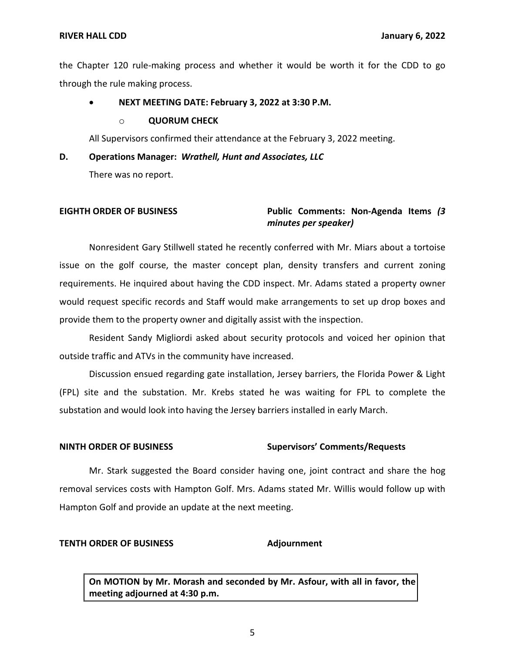## **RIVER HALL CDD January 6, 2022**

the Chapter 120 rule-making process and whether it would be worth it for the CDD to go through the rule making process.

## • **NEXT MEETING DATE: February 3, 2022 at 3:30 P.M.**

### o **QUORUM CHECK**

All Supervisors confirmed their attendance at the February 3, 2022 meeting.

### **D. Operations Manager:** *Wrathell, Hunt and Associates, LLC*

There was no report.

# **EIGHTH ORDER OF BUSINESS Public Comments: Non-Agenda Items** *(3 minutes per speaker)*

Nonresident Gary Stillwell stated he recently conferred with Mr. Miars about a tortoise issue on the golf course, the master concept plan, density transfers and current zoning requirements. He inquired about having the CDD inspect. Mr. Adams stated a property owner would request specific records and Staff would make arrangements to set up drop boxes and provide them to the property owner and digitally assist with the inspection.

Resident Sandy Migliordi asked about security protocols and voiced her opinion that outside traffic and ATVs in the community have increased.

Discussion ensued regarding gate installation, Jersey barriers, the Florida Power & Light (FPL) site and the substation. Mr. Krebs stated he was waiting for FPL to complete the substation and would look into having the Jersey barriers installed in early March.

### **NINTH ORDER OF BUSINESS Supervisors' Comments/Requests**

Mr. Stark suggested the Board consider having one, joint contract and share the hog removal services costs with Hampton Golf. Mrs. Adams stated Mr. Willis would follow up with Hampton Golf and provide an update at the next meeting.

## **TENTH ORDER OF BUSINESS Adjournment**

**On MOTION by Mr. Morash and seconded by Mr. Asfour, with all in favor, the meeting adjourned at 4:30 p.m.**